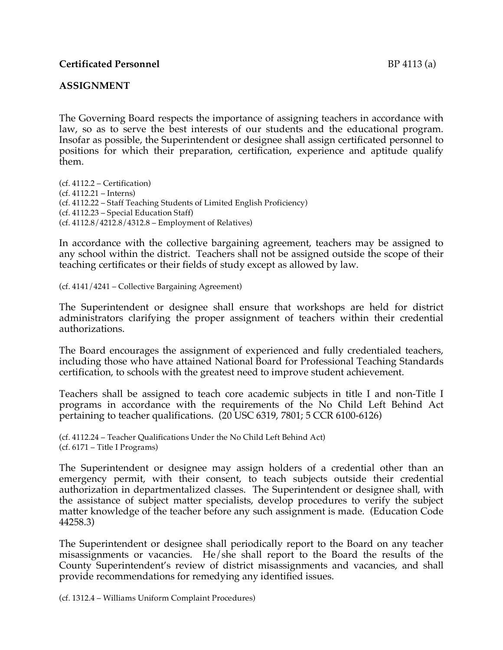#### **ASSIGNMENT**

The Governing Board respects the importance of assigning teachers in accordance with law, so as to serve the best interests of our students and the educational program. Insofar as possible, the Superintendent or designee shall assign certificated personnel to positions for which their preparation, certification, experience and aptitude qualify them.

(cf. 4112.2 – Certification) (cf. 4112.21 – Interns) (cf. 4112.22 – Staff Teaching Students of Limited English Proficiency) (cf. 4112.23 – Special Education Staff) (cf. 4112.8/4212.8/4312.8 – Employment of Relatives)

In accordance with the collective bargaining agreement, teachers may be assigned to any school within the district. Teachers shall not be assigned outside the scope of their teaching certificates or their fields of study except as allowed by law.

(cf. 4141/4241 – Collective Bargaining Agreement)

The Superintendent or designee shall ensure that workshops are held for district administrators clarifying the proper assignment of teachers within their credential authorizations.

The Board encourages the assignment of experienced and fully credentialed teachers, including those who have attained National Board for Professional Teaching Standards certification, to schools with the greatest need to improve student achievement.

Teachers shall be assigned to teach core academic subjects in title I and non-Title I programs in accordance with the requirements of the No Child Left Behind Act pertaining to teacher qualifications. (20 USC 6319, 7801; 5 CCR 6100-6126)

(cf. 4112.24 – Teacher Qualifications Under the No Child Left Behind Act) (cf. 6171 – Title I Programs)

The Superintendent or designee may assign holders of a credential other than an emergency permit, with their consent, to teach subjects outside their credential authorization in departmentalized classes. The Superintendent or designee shall, with the assistance of subject matter specialists, develop procedures to verify the subject matter knowledge of the teacher before any such assignment is made. (Education Code 44258.3)

The Superintendent or designee shall periodically report to the Board on any teacher misassignments or vacancies. He/she shall report to the Board the results of the County Superintendent's review of district misassignments and vacancies, and shall provide recommendations for remedying any identified issues.

(cf. 1312.4 – Williams Uniform Complaint Procedures)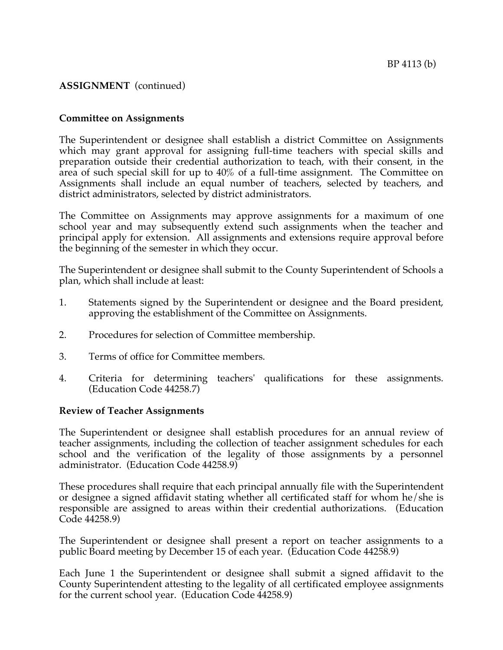# **ASSIGNMENT** (continued)

#### **Committee on Assignments**

The Superintendent or designee shall establish a district Committee on Assignments which may grant approval for assigning full-time teachers with special skills and preparation outside their credential authorization to teach, with their consent, in the area of such special skill for up to 40% of a full-time assignment. The Committee on Assignments shall include an equal number of teachers, selected by teachers, and district administrators, selected by district administrators.

The Committee on Assignments may approve assignments for a maximum of one school year and may subsequently extend such assignments when the teacher and principal apply for extension. All assignments and extensions require approval before the beginning of the semester in which they occur.

The Superintendent or designee shall submit to the County Superintendent of Schools a plan, which shall include at least:

- 1. Statements signed by the Superintendent or designee and the Board president, approving the establishment of the Committee on Assignments.
- 2. Procedures for selection of Committee membership.
- 3. Terms of office for Committee members.
- 4. Criteria for determining teachers' qualifications for these assignments. (Education Code 44258.7)

#### **Review of Teacher Assignments**

The Superintendent or designee shall establish procedures for an annual review of teacher assignments, including the collection of teacher assignment schedules for each school and the verification of the legality of those assignments by a personnel administrator. (Education Code 44258.9)

These procedures shall require that each principal annually file with the Superintendent or designee a signed affidavit stating whether all certificated staff for whom he/she is responsible are assigned to areas within their credential authorizations. (Education Code 44258.9)

The Superintendent or designee shall present a report on teacher assignments to a public Board meeting by December 15 of each year. (Education Code 44258.9)

Each June 1 the Superintendent or designee shall submit a signed affidavit to the County Superintendent attesting to the legality of all certificated employee assignments for the current school year. (Education Code 44258.9)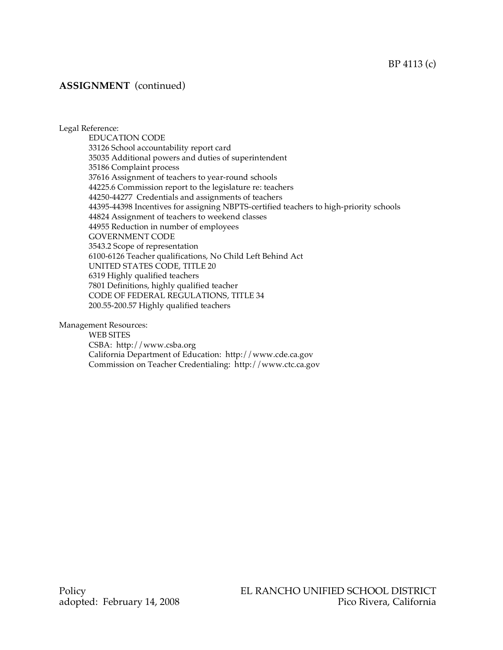## **ASSIGNMENT** (continued)

Legal Reference:

EDUCATION CODE 33126 School accountability report card 35035 Additional powers and duties of superintendent 35186 Complaint process 37616 Assignment of teachers to year-round schools 44225.6 Commission report to the legislature re: teachers 44250-44277 Credentials and assignments of teachers 44395-44398 Incentives for assigning NBPTS-certified teachers to high-priority schools 44824 Assignment of teachers to weekend classes 44955 Reduction in number of employees GOVERNMENT CODE 3543.2 Scope of representation 6100-6126 Teacher qualifications, No Child Left Behind Act UNITED STATES CODE, TITLE 20 6319 Highly qualified teachers 7801 Definitions, highly qualified teacher CODE OF FEDERAL REGULATIONS, TITLE 34 200.55-200.57 Highly qualified teachers

Management Resources:

WEB SITES CSBA: http://www.csba.org California Department of Education: http://www.cde.ca.gov Commission on Teacher Credentialing: http://www.ctc.ca.gov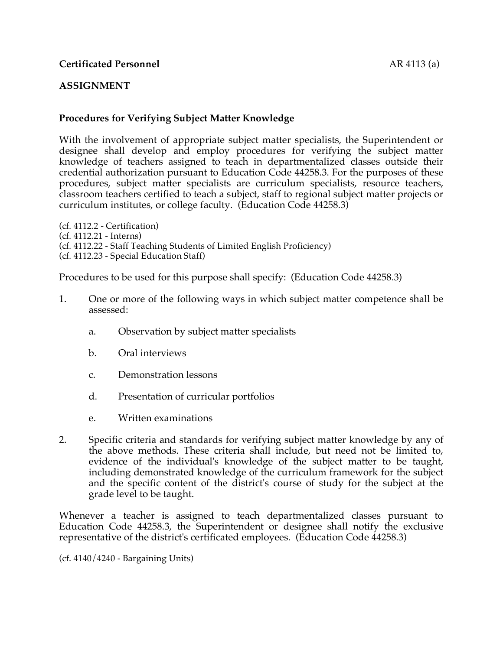## **ASSIGNMENT**

# **Procedures for Verifying Subject Matter Knowledge**

With the involvement of appropriate subject matter specialists, the Superintendent or designee shall develop and employ procedures for verifying the subject matter knowledge of teachers assigned to teach in departmentalized classes outside their credential authorization pursuant to Education Code 44258.3. For the purposes of these procedures, subject matter specialists are curriculum specialists, resource teachers, classroom teachers certified to teach a subject, staff to regional subject matter projects or curriculum institutes, or college faculty. (Education Code 44258.3)

(cf. 4112.2 - Certification) (cf. 4112.21 - Interns) (cf. 4112.22 - Staff Teaching Students of Limited English Proficiency) (cf. 4112.23 - Special Education Staff)

Procedures to be used for this purpose shall specify: (Education Code 44258.3)

- 1. One or more of the following ways in which subject matter competence shall be assessed:
	- a. Observation by subject matter specialists
	- b. Oral interviews
	- c. Demonstration lessons
	- d. Presentation of curricular portfolios
	- e. Written examinations
- 2. Specific criteria and standards for verifying subject matter knowledge by any of the above methods. These criteria shall include, but need not be limited to, evidence of the individual's knowledge of the subject matter to be taught, including demonstrated knowledge of the curriculum framework for the subject and the specific content of the district's course of study for the subject at the grade level to be taught.

Whenever a teacher is assigned to teach departmentalized classes pursuant to Education Code 44258.3, the Superintendent or designee shall notify the exclusive representative of the district's certificated employees. (Education Code 44258.3)

(cf. 4140/4240 - Bargaining Units)